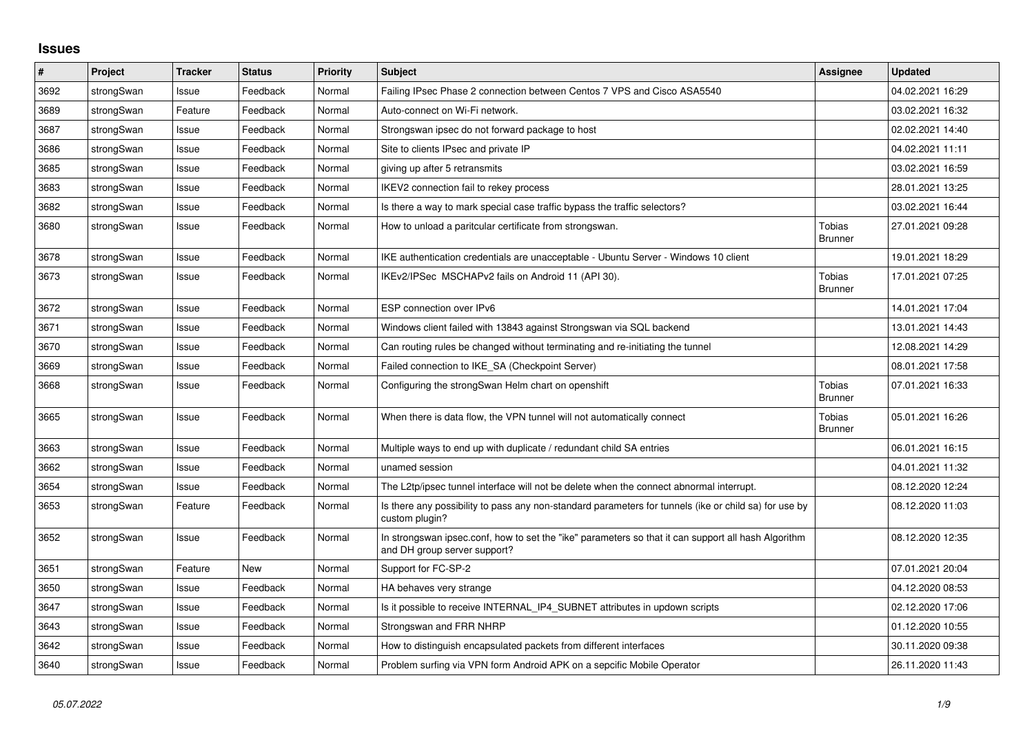## **Issues**

| $\vert$ # | Project    | <b>Tracker</b> | <b>Status</b> | <b>Priority</b> | <b>Subject</b>                                                                                                                      | Assignee                        | <b>Updated</b>   |
|-----------|------------|----------------|---------------|-----------------|-------------------------------------------------------------------------------------------------------------------------------------|---------------------------------|------------------|
| 3692      | strongSwan | Issue          | Feedback      | Normal          | Failing IPsec Phase 2 connection between Centos 7 VPS and Cisco ASA5540                                                             |                                 | 04.02.2021 16:29 |
| 3689      | strongSwan | Feature        | Feedback      | Normal          | Auto-connect on Wi-Fi network.                                                                                                      |                                 | 03.02.2021 16:32 |
| 3687      | strongSwan | Issue          | Feedback      | Normal          | Strongswan ipsec do not forward package to host                                                                                     |                                 | 02.02.2021 14:40 |
| 3686      | strongSwan | Issue          | Feedback      | Normal          | Site to clients IPsec and private IP                                                                                                |                                 | 04.02.2021 11:11 |
| 3685      | strongSwan | Issue          | Feedback      | Normal          | giving up after 5 retransmits                                                                                                       |                                 | 03.02.2021 16:59 |
| 3683      | strongSwan | Issue          | Feedback      | Normal          | IKEV2 connection fail to rekey process                                                                                              |                                 | 28.01.2021 13:25 |
| 3682      | strongSwan | Issue          | Feedback      | Normal          | Is there a way to mark special case traffic bypass the traffic selectors?                                                           |                                 | 03.02.2021 16:44 |
| 3680      | strongSwan | Issue          | Feedback      | Normal          | How to unload a paritcular certificate from strongswan.                                                                             | Tobias<br><b>Brunner</b>        | 27.01.2021 09:28 |
| 3678      | strongSwan | Issue          | Feedback      | Normal          | IKE authentication credentials are unacceptable - Ubuntu Server - Windows 10 client                                                 |                                 | 19.01.2021 18:29 |
| 3673      | strongSwan | Issue          | Feedback      | Normal          | IKEv2/IPSec MSCHAPv2 fails on Android 11 (API 30).                                                                                  | Tobias<br><b>Brunner</b>        | 17.01.2021 07:25 |
| 3672      | strongSwan | Issue          | Feedback      | Normal          | ESP connection over IPv6                                                                                                            |                                 | 14.01.2021 17:04 |
| 3671      | strongSwan | Issue          | Feedback      | Normal          | Windows client failed with 13843 against Strongswan via SQL backend                                                                 |                                 | 13.01.2021 14:43 |
| 3670      | strongSwan | Issue          | Feedback      | Normal          | Can routing rules be changed without terminating and re-initiating the tunnel                                                       |                                 | 12.08.2021 14:29 |
| 3669      | strongSwan | Issue          | Feedback      | Normal          | Failed connection to IKE SA (Checkpoint Server)                                                                                     |                                 | 08.01.2021 17:58 |
| 3668      | strongSwan | Issue          | Feedback      | Normal          | Configuring the strongSwan Helm chart on openshift                                                                                  | Tobias<br><b>Brunner</b>        | 07.01.2021 16:33 |
| 3665      | strongSwan | Issue          | Feedback      | Normal          | When there is data flow, the VPN tunnel will not automatically connect                                                              | <b>Tobias</b><br><b>Brunner</b> | 05.01.2021 16:26 |
| 3663      | strongSwan | Issue          | Feedback      | Normal          | Multiple ways to end up with duplicate / redundant child SA entries                                                                 |                                 | 06.01.2021 16:15 |
| 3662      | strongSwan | Issue          | Feedback      | Normal          | unamed session                                                                                                                      |                                 | 04.01.2021 11:32 |
| 3654      | strongSwan | Issue          | Feedback      | Normal          | The L2tp/ipsec tunnel interface will not be delete when the connect abnormal interrupt.                                             |                                 | 08.12.2020 12:24 |
| 3653      | strongSwan | Feature        | Feedback      | Normal          | Is there any possibility to pass any non-standard parameters for tunnels (ike or child sa) for use by<br>custom plugin?             |                                 | 08.12.2020 11:03 |
| 3652      | strongSwan | Issue          | Feedback      | Normal          | In strongswan ipsec.conf, how to set the "ike" parameters so that it can support all hash Algorithm<br>and DH group server support? |                                 | 08.12.2020 12:35 |
| 3651      | strongSwan | Feature        | New           | Normal          | Support for FC-SP-2                                                                                                                 |                                 | 07.01.2021 20:04 |
| 3650      | strongSwan | Issue          | Feedback      | Normal          | HA behaves very strange                                                                                                             |                                 | 04.12.2020 08:53 |
| 3647      | strongSwan | Issue          | Feedback      | Normal          | Is it possible to receive INTERNAL_IP4_SUBNET attributes in updown scripts                                                          |                                 | 02.12.2020 17:06 |
| 3643      | strongSwan | Issue          | Feedback      | Normal          | Strongswan and FRR NHRP                                                                                                             |                                 | 01.12.2020 10:55 |
| 3642      | strongSwan | Issue          | Feedback      | Normal          | How to distinguish encapsulated packets from different interfaces                                                                   |                                 | 30.11.2020 09:38 |
| 3640      | strongSwan | Issue          | Feedback      | Normal          | Problem surfing via VPN form Android APK on a sepcific Mobile Operator                                                              |                                 | 26.11.2020 11:43 |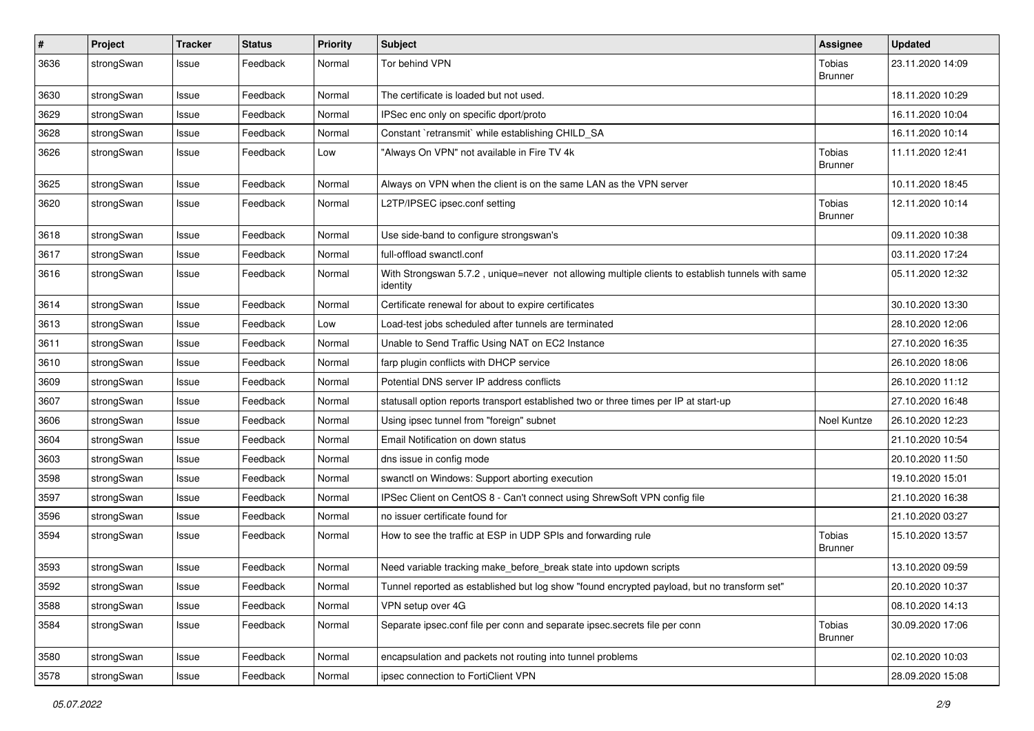| #    | Project    | <b>Tracker</b> | <b>Status</b> | <b>Priority</b> | Subject                                                                                                      | Assignee                        | <b>Updated</b>   |
|------|------------|----------------|---------------|-----------------|--------------------------------------------------------------------------------------------------------------|---------------------------------|------------------|
| 3636 | strongSwan | Issue          | Feedback      | Normal          | Tor behind VPN                                                                                               | Tobias<br><b>Brunner</b>        | 23.11.2020 14:09 |
| 3630 | strongSwan | Issue          | Feedback      | Normal          | The certificate is loaded but not used.                                                                      |                                 | 18.11.2020 10:29 |
| 3629 | strongSwan | Issue          | Feedback      | Normal          | IPSec enc only on specific dport/proto                                                                       |                                 | 16.11.2020 10:04 |
| 3628 | strongSwan | Issue          | Feedback      | Normal          | Constant `retransmit` while establishing CHILD_SA                                                            |                                 | 16.11.2020 10:14 |
| 3626 | strongSwan | Issue          | Feedback      | Low             | "Always On VPN" not available in Fire TV 4k                                                                  | <b>Tobias</b><br><b>Brunner</b> | 11.11.2020 12:41 |
| 3625 | strongSwan | Issue          | Feedback      | Normal          | Always on VPN when the client is on the same LAN as the VPN server                                           |                                 | 10.11.2020 18:45 |
| 3620 | strongSwan | Issue          | Feedback      | Normal          | L2TP/IPSEC ipsec.conf setting                                                                                | Tobias<br><b>Brunner</b>        | 12.11.2020 10:14 |
| 3618 | strongSwan | Issue          | Feedback      | Normal          | Use side-band to configure strongswan's                                                                      |                                 | 09.11.2020 10:38 |
| 3617 | strongSwan | Issue          | Feedback      | Normal          | full-offload swanctl.conf                                                                                    |                                 | 03.11.2020 17:24 |
| 3616 | strongSwan | Issue          | Feedback      | Normal          | With Strongswan 5.7.2, unique=never not allowing multiple clients to establish tunnels with same<br>identity |                                 | 05.11.2020 12:32 |
| 3614 | strongSwan | Issue          | Feedback      | Normal          | Certificate renewal for about to expire certificates                                                         |                                 | 30.10.2020 13:30 |
| 3613 | strongSwan | Issue          | Feedback      | Low             | Load-test jobs scheduled after tunnels are terminated                                                        |                                 | 28.10.2020 12:06 |
| 3611 | strongSwan | Issue          | Feedback      | Normal          | Unable to Send Traffic Using NAT on EC2 Instance                                                             |                                 | 27.10.2020 16:35 |
| 3610 | strongSwan | Issue          | Feedback      | Normal          | farp plugin conflicts with DHCP service                                                                      |                                 | 26.10.2020 18:06 |
| 3609 | strongSwan | Issue          | Feedback      | Normal          | Potential DNS server IP address conflicts                                                                    |                                 | 26.10.2020 11:12 |
| 3607 | strongSwan | Issue          | Feedback      | Normal          | statusall option reports transport established two or three times per IP at start-up                         |                                 | 27.10.2020 16:48 |
| 3606 | strongSwan | Issue          | Feedback      | Normal          | Using ipsec tunnel from "foreign" subnet                                                                     | Noel Kuntze                     | 26.10.2020 12:23 |
| 3604 | strongSwan | Issue          | Feedback      | Normal          | Email Notification on down status                                                                            |                                 | 21.10.2020 10:54 |
| 3603 | strongSwan | Issue          | Feedback      | Normal          | dns issue in config mode                                                                                     |                                 | 20.10.2020 11:50 |
| 3598 | strongSwan | Issue          | Feedback      | Normal          | swanctl on Windows: Support aborting execution                                                               |                                 | 19.10.2020 15:01 |
| 3597 | strongSwan | Issue          | Feedback      | Normal          | IPSec Client on CentOS 8 - Can't connect using ShrewSoft VPN config file                                     |                                 | 21.10.2020 16:38 |
| 3596 | strongSwan | Issue          | Feedback      | Normal          | no issuer certificate found for                                                                              |                                 | 21.10.2020 03:27 |
| 3594 | strongSwan | Issue          | Feedback      | Normal          | How to see the traffic at ESP in UDP SPIs and forwarding rule                                                | <b>Tobias</b><br><b>Brunner</b> | 15.10.2020 13:57 |
| 3593 | strongSwan | Issue          | Feedback      | Normal          | Need variable tracking make_before_break state into updown scripts                                           |                                 | 13.10.2020 09:59 |
| 3592 | strongSwan | Issue          | Feedback      | Normal          | Tunnel reported as established but log show "found encrypted payload, but no transform set"                  |                                 | 20.10.2020 10:37 |
| 3588 | strongSwan | Issue          | Feedback      | Normal          | VPN setup over 4G                                                                                            |                                 | 08.10.2020 14:13 |
| 3584 | strongSwan | Issue          | Feedback      | Normal          | Separate ipsec.conf file per conn and separate ipsec.secrets file per conn                                   | Tobias<br><b>Brunner</b>        | 30.09.2020 17:06 |
| 3580 | strongSwan | Issue          | Feedback      | Normal          | encapsulation and packets not routing into tunnel problems                                                   |                                 | 02.10.2020 10:03 |
| 3578 | strongSwan | Issue          | Feedback      | Normal          | ipsec connection to FortiClient VPN                                                                          |                                 | 28.09.2020 15:08 |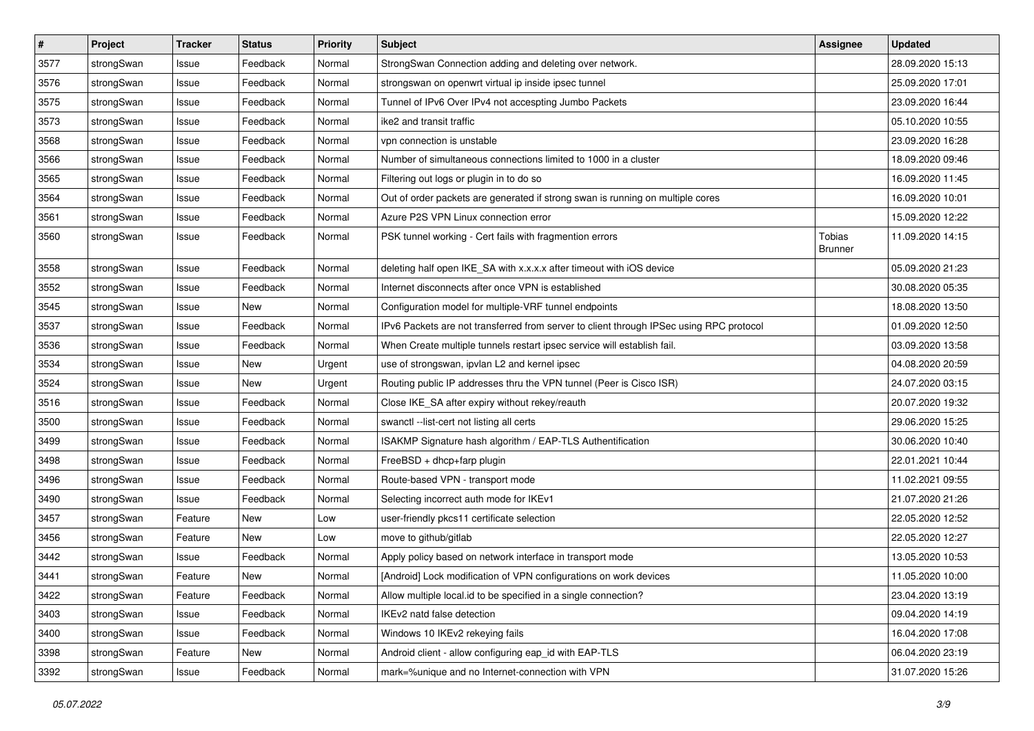| $\pmb{\#}$ | Project    | <b>Tracker</b> | <b>Status</b> | <b>Priority</b> | <b>Subject</b>                                                                          | Assignee                 | <b>Updated</b>   |
|------------|------------|----------------|---------------|-----------------|-----------------------------------------------------------------------------------------|--------------------------|------------------|
| 3577       | strongSwan | Issue          | Feedback      | Normal          | StrongSwan Connection adding and deleting over network.                                 |                          | 28.09.2020 15:13 |
| 3576       | strongSwan | Issue          | Feedback      | Normal          | strongswan on openwrt virtual ip inside ipsec tunnel                                    |                          | 25.09.2020 17:01 |
| 3575       | strongSwan | Issue          | Feedback      | Normal          | Tunnel of IPv6 Over IPv4 not accespting Jumbo Packets                                   |                          | 23.09.2020 16:44 |
| 3573       | strongSwan | lssue          | Feedback      | Normal          | ike2 and transit traffic                                                                |                          | 05.10.2020 10:55 |
| 3568       | strongSwan | Issue          | Feedback      | Normal          | vpn connection is unstable                                                              |                          | 23.09.2020 16:28 |
| 3566       | strongSwan | Issue          | Feedback      | Normal          | Number of simultaneous connections limited to 1000 in a cluster                         |                          | 18.09.2020 09:46 |
| 3565       | strongSwan | Issue          | Feedback      | Normal          | Filtering out logs or plugin in to do so                                                |                          | 16.09.2020 11:45 |
| 3564       | strongSwan | Issue          | Feedback      | Normal          | Out of order packets are generated if strong swan is running on multiple cores          |                          | 16.09.2020 10:01 |
| 3561       | strongSwan | Issue          | Feedback      | Normal          | Azure P2S VPN Linux connection error                                                    |                          | 15.09.2020 12:22 |
| 3560       | strongSwan | Issue          | Feedback      | Normal          | PSK tunnel working - Cert fails with fragmention errors                                 | Tobias<br><b>Brunner</b> | 11.09.2020 14:15 |
| 3558       | strongSwan | lssue          | Feedback      | Normal          | deleting half open IKE_SA with x.x.x.x after timeout with iOS device                    |                          | 05.09.2020 21:23 |
| 3552       | strongSwan | Issue          | Feedback      | Normal          | Internet disconnects after once VPN is established                                      |                          | 30.08.2020 05:35 |
| 3545       | strongSwan | Issue          | New           | Normal          | Configuration model for multiple-VRF tunnel endpoints                                   |                          | 18.08.2020 13:50 |
| 3537       | strongSwan | Issue          | Feedback      | Normal          | IPv6 Packets are not transferred from server to client through IPSec using RPC protocol |                          | 01.09.2020 12:50 |
| 3536       | strongSwan | Issue          | Feedback      | Normal          | When Create multiple tunnels restart ipsec service will establish fail.                 |                          | 03.09.2020 13:58 |
| 3534       | strongSwan | Issue          | New           | Urgent          | use of strongswan, ipvlan L2 and kernel ipsec                                           |                          | 04.08.2020 20:59 |
| 3524       | strongSwan | Issue          | New           | Urgent          | Routing public IP addresses thru the VPN tunnel (Peer is Cisco ISR)                     |                          | 24.07.2020 03:15 |
| 3516       | strongSwan | Issue          | Feedback      | Normal          | Close IKE_SA after expiry without rekey/reauth                                          |                          | 20.07.2020 19:32 |
| 3500       | strongSwan | Issue          | Feedback      | Normal          | swanctl --list-cert not listing all certs                                               |                          | 29.06.2020 15:25 |
| 3499       | strongSwan | Issue          | Feedback      | Normal          | ISAKMP Signature hash algorithm / EAP-TLS Authentification                              |                          | 30.06.2020 10:40 |
| 3498       | strongSwan | lssue          | Feedback      | Normal          | FreeBSD + dhcp+farp plugin                                                              |                          | 22.01.2021 10:44 |
| 3496       | strongSwan | Issue          | Feedback      | Normal          | Route-based VPN - transport mode                                                        |                          | 11.02.2021 09:55 |
| 3490       | strongSwan | Issue          | Feedback      | Normal          | Selecting incorrect auth mode for IKEv1                                                 |                          | 21.07.2020 21:26 |
| 3457       | strongSwan | Feature        | New           | Low             | user-friendly pkcs11 certificate selection                                              |                          | 22.05.2020 12:52 |
| 3456       | strongSwan | Feature        | New           | Low             | move to github/gitlab                                                                   |                          | 22.05.2020 12:27 |
| 3442       | strongSwan | Issue          | Feedback      | Normal          | Apply policy based on network interface in transport mode                               |                          | 13.05.2020 10:53 |
| 3441       | strongSwan | Feature        | New           | Normal          | [Android] Lock modification of VPN configurations on work devices                       |                          | 11.05.2020 10:00 |
| 3422       | strongSwan | Feature        | Feedback      | Normal          | Allow multiple local id to be specified in a single connection?                         |                          | 23.04.2020 13:19 |
| 3403       | strongSwan | Issue          | Feedback      | Normal          | IKEv2 natd false detection                                                              |                          | 09.04.2020 14:19 |
| 3400       | strongSwan | Issue          | Feedback      | Normal          | Windows 10 IKEv2 rekeying fails                                                         |                          | 16.04.2020 17:08 |
| 3398       | strongSwan | Feature        | New           | Normal          | Android client - allow configuring eap_id with EAP-TLS                                  |                          | 06.04.2020 23:19 |
| 3392       | strongSwan | Issue          | Feedback      | Normal          | mark=%unique and no Internet-connection with VPN                                        |                          | 31.07.2020 15:26 |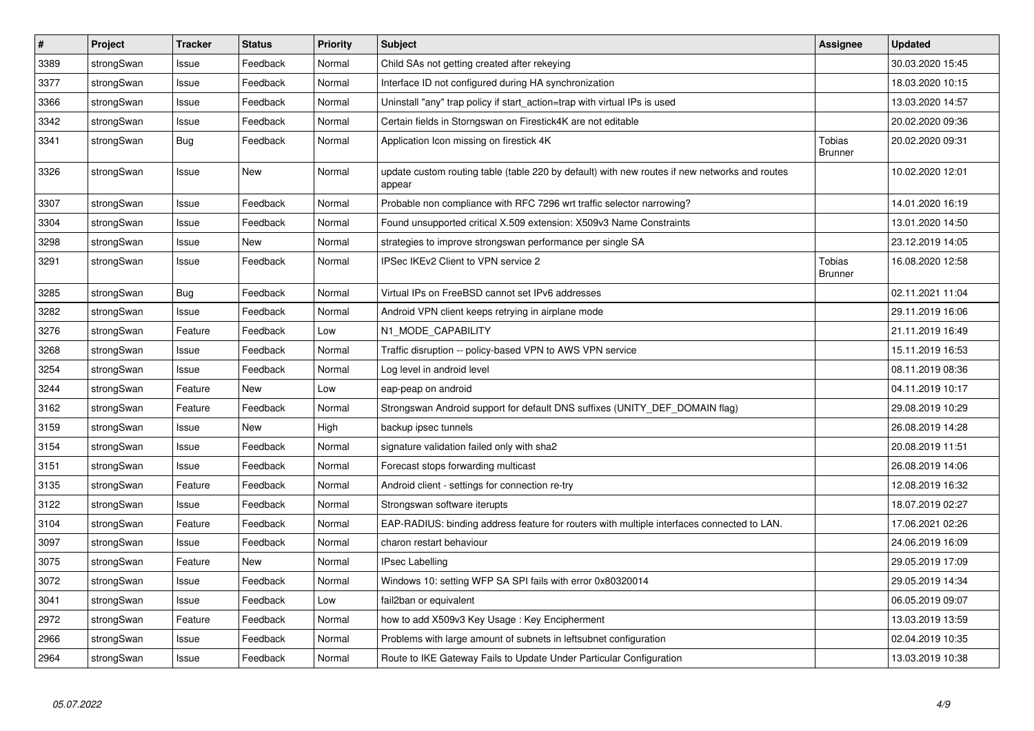| $\vert$ # | Project    | <b>Tracker</b> | <b>Status</b> | Priority | <b>Subject</b>                                                                                          | Assignee                        | <b>Updated</b>   |
|-----------|------------|----------------|---------------|----------|---------------------------------------------------------------------------------------------------------|---------------------------------|------------------|
| 3389      | strongSwan | Issue          | Feedback      | Normal   | Child SAs not getting created after rekeying                                                            |                                 | 30.03.2020 15:45 |
| 3377      | strongSwan | Issue          | Feedback      | Normal   | Interface ID not configured during HA synchronization                                                   |                                 | 18.03.2020 10:15 |
| 3366      | strongSwan | Issue          | Feedback      | Normal   | Uninstall "any" trap policy if start_action=trap with virtual IPs is used                               |                                 | 13.03.2020 14:57 |
| 3342      | strongSwan | Issue          | Feedback      | Normal   | Certain fields in Storngswan on Firestick4K are not editable                                            |                                 | 20.02.2020 09:36 |
| 3341      | strongSwan | Bug            | Feedback      | Normal   | Application Icon missing on firestick 4K                                                                | <b>Tobias</b><br><b>Brunner</b> | 20.02.2020 09:31 |
| 3326      | strongSwan | Issue          | <b>New</b>    | Normal   | update custom routing table (table 220 by default) with new routes if new networks and routes<br>appear |                                 | 10.02.2020 12:01 |
| 3307      | strongSwan | Issue          | Feedback      | Normal   | Probable non compliance with RFC 7296 wrt traffic selector narrowing?                                   |                                 | 14.01.2020 16:19 |
| 3304      | strongSwan | Issue          | Feedback      | Normal   | Found unsupported critical X.509 extension: X509v3 Name Constraints                                     |                                 | 13.01.2020 14:50 |
| 3298      | strongSwan | Issue          | <b>New</b>    | Normal   | strategies to improve strongswan performance per single SA                                              |                                 | 23.12.2019 14:05 |
| 3291      | strongSwan | Issue          | Feedback      | Normal   | IPSec IKEv2 Client to VPN service 2                                                                     | Tobias<br>Brunner               | 16.08.2020 12:58 |
| 3285      | strongSwan | <b>Bug</b>     | Feedback      | Normal   | Virtual IPs on FreeBSD cannot set IPv6 addresses                                                        |                                 | 02.11.2021 11:04 |
| 3282      | strongSwan | Issue          | Feedback      | Normal   | Android VPN client keeps retrying in airplane mode                                                      |                                 | 29.11.2019 16:06 |
| 3276      | strongSwan | Feature        | Feedback      | Low      | N1_MODE_CAPABILITY                                                                                      |                                 | 21.11.2019 16:49 |
| 3268      | strongSwan | Issue          | Feedback      | Normal   | Traffic disruption -- policy-based VPN to AWS VPN service                                               |                                 | 15.11.2019 16:53 |
| 3254      | strongSwan | Issue          | Feedback      | Normal   | Log level in android level                                                                              |                                 | 08.11.2019 08:36 |
| 3244      | strongSwan | Feature        | New           | Low      | eap-peap on android                                                                                     |                                 | 04.11.2019 10:17 |
| 3162      | strongSwan | Feature        | Feedback      | Normal   | Strongswan Android support for default DNS suffixes (UNITY_DEF_DOMAIN flag)                             |                                 | 29.08.2019 10:29 |
| 3159      | strongSwan | Issue          | <b>New</b>    | High     | backup ipsec tunnels                                                                                    |                                 | 26.08.2019 14:28 |
| 3154      | strongSwan | Issue          | Feedback      | Normal   | signature validation failed only with sha2                                                              |                                 | 20.08.2019 11:51 |
| 3151      | strongSwan | Issue          | Feedback      | Normal   | Forecast stops forwarding multicast                                                                     |                                 | 26.08.2019 14:06 |
| 3135      | strongSwan | Feature        | Feedback      | Normal   | Android client - settings for connection re-try                                                         |                                 | 12.08.2019 16:32 |
| 3122      | strongSwan | Issue          | Feedback      | Normal   | Strongswan software iterupts                                                                            |                                 | 18.07.2019 02:27 |
| 3104      | strongSwan | Feature        | Feedback      | Normal   | EAP-RADIUS: binding address feature for routers with multiple interfaces connected to LAN.              |                                 | 17.06.2021 02:26 |
| 3097      | strongSwan | Issue          | Feedback      | Normal   | charon restart behaviour                                                                                |                                 | 24.06.2019 16:09 |
| 3075      | strongSwan | Feature        | New           | Normal   | <b>IPsec Labelling</b>                                                                                  |                                 | 29.05.2019 17:09 |
| 3072      | strongSwan | Issue          | Feedback      | Normal   | Windows 10: setting WFP SA SPI fails with error 0x80320014                                              |                                 | 29.05.2019 14:34 |
| 3041      | strongSwan | Issue          | Feedback      | Low      | fail2ban or equivalent                                                                                  |                                 | 06.05.2019 09:07 |
| 2972      | strongSwan | Feature        | Feedback      | Normal   | how to add X509v3 Key Usage: Key Encipherment                                                           |                                 | 13.03.2019 13:59 |
| 2966      | strongSwan | Issue          | Feedback      | Normal   | Problems with large amount of subnets in leftsubnet configuration                                       |                                 | 02.04.2019 10:35 |
| 2964      | strongSwan | Issue          | Feedback      | Normal   | Route to IKE Gateway Fails to Update Under Particular Configuration                                     |                                 | 13.03.2019 10:38 |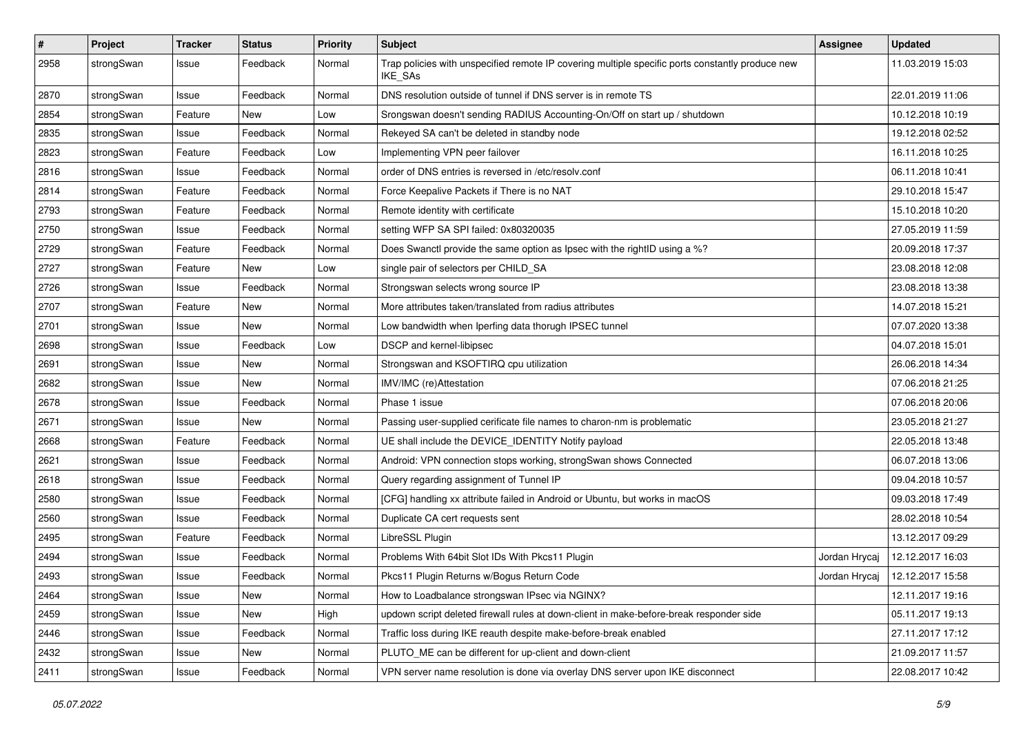| $\pmb{\#}$ | Project    | <b>Tracker</b> | <b>Status</b> | <b>Priority</b> | <b>Subject</b>                                                                                              | <b>Assignee</b> | <b>Updated</b>   |
|------------|------------|----------------|---------------|-----------------|-------------------------------------------------------------------------------------------------------------|-----------------|------------------|
| 2958       | strongSwan | Issue          | Feedback      | Normal          | Trap policies with unspecified remote IP covering multiple specific ports constantly produce new<br>IKE_SAs |                 | 11.03.2019 15:03 |
| 2870       | strongSwan | Issue          | Feedback      | Normal          | DNS resolution outside of tunnel if DNS server is in remote TS                                              |                 | 22.01.2019 11:06 |
| 2854       | strongSwan | Feature        | New           | Low             | Srongswan doesn't sending RADIUS Accounting-On/Off on start up / shutdown                                   |                 | 10.12.2018 10:19 |
| 2835       | strongSwan | Issue          | Feedback      | Normal          | Rekeyed SA can't be deleted in standby node                                                                 |                 | 19.12.2018 02:52 |
| 2823       | strongSwan | Feature        | Feedback      | Low             | Implementing VPN peer failover                                                                              |                 | 16.11.2018 10:25 |
| 2816       | strongSwan | Issue          | Feedback      | Normal          | order of DNS entries is reversed in /etc/resolv.conf                                                        |                 | 06.11.2018 10:41 |
| 2814       | strongSwan | Feature        | Feedback      | Normal          | Force Keepalive Packets if There is no NAT                                                                  |                 | 29.10.2018 15:47 |
| 2793       | strongSwan | Feature        | Feedback      | Normal          | Remote identity with certificate                                                                            |                 | 15.10.2018 10:20 |
| 2750       | strongSwan | Issue          | Feedback      | Normal          | setting WFP SA SPI failed: 0x80320035                                                                       |                 | 27.05.2019 11:59 |
| 2729       | strongSwan | Feature        | Feedback      | Normal          | Does Swanctl provide the same option as Ipsec with the rightID using a %?                                   |                 | 20.09.2018 17:37 |
| 2727       | strongSwan | Feature        | New           | Low             | single pair of selectors per CHILD_SA                                                                       |                 | 23.08.2018 12:08 |
| 2726       | strongSwan | Issue          | Feedback      | Normal          | Strongswan selects wrong source IP                                                                          |                 | 23.08.2018 13:38 |
| 2707       | strongSwan | Feature        | New           | Normal          | More attributes taken/translated from radius attributes                                                     |                 | 14.07.2018 15:21 |
| 2701       | strongSwan | Issue          | New           | Normal          | Low bandwidth when Iperfing data thorugh IPSEC tunnel                                                       |                 | 07.07.2020 13:38 |
| 2698       | strongSwan | Issue          | Feedback      | Low             | DSCP and kernel-libipsec                                                                                    |                 | 04.07.2018 15:01 |
| 2691       | strongSwan | Issue          | New           | Normal          | Strongswan and KSOFTIRQ cpu utilization                                                                     |                 | 26.06.2018 14:34 |
| 2682       | strongSwan | Issue          | New           | Normal          | IMV/IMC (re)Attestation                                                                                     |                 | 07.06.2018 21:25 |
| 2678       | strongSwan | Issue          | Feedback      | Normal          | Phase 1 issue                                                                                               |                 | 07.06.2018 20:06 |
| 2671       | strongSwan | Issue          | New           | Normal          | Passing user-supplied cerificate file names to charon-nm is problematic                                     |                 | 23.05.2018 21:27 |
| 2668       | strongSwan | Feature        | Feedback      | Normal          | UE shall include the DEVICE_IDENTITY Notify payload                                                         |                 | 22.05.2018 13:48 |
| 2621       | strongSwan | Issue          | Feedback      | Normal          | Android: VPN connection stops working, strongSwan shows Connected                                           |                 | 06.07.2018 13:06 |
| 2618       | strongSwan | Issue          | Feedback      | Normal          | Query regarding assignment of Tunnel IP                                                                     |                 | 09.04.2018 10:57 |
| 2580       | strongSwan | Issue          | Feedback      | Normal          | [CFG] handling xx attribute failed in Android or Ubuntu, but works in macOS                                 |                 | 09.03.2018 17:49 |
| 2560       | strongSwan | Issue          | Feedback      | Normal          | Duplicate CA cert requests sent                                                                             |                 | 28.02.2018 10:54 |
| 2495       | strongSwan | Feature        | Feedback      | Normal          | LibreSSL Plugin                                                                                             |                 | 13.12.2017 09:29 |
| 2494       | strongSwan | Issue          | Feedback      | Normal          | Problems With 64bit Slot IDs With Pkcs11 Plugin                                                             | Jordan Hrycaj   | 12.12.2017 16:03 |
| 2493       | strongSwan | Issue          | Feedback      | Normal          | Pkcs11 Plugin Returns w/Bogus Return Code                                                                   | Jordan Hrycaj   | 12.12.2017 15:58 |
| 2464       | strongSwan | Issue          | New           | Normal          | How to Loadbalance strongswan IPsec via NGINX?                                                              |                 | 12.11.2017 19:16 |
| 2459       | strongSwan | Issue          | New           | High            | updown script deleted firewall rules at down-client in make-before-break responder side                     |                 | 05.11.2017 19:13 |
| 2446       | strongSwan | Issue          | Feedback      | Normal          | Traffic loss during IKE reauth despite make-before-break enabled                                            |                 | 27.11.2017 17:12 |
| 2432       | strongSwan | Issue          | New           | Normal          | PLUTO_ME can be different for up-client and down-client                                                     |                 | 21.09.2017 11:57 |
| 2411       | strongSwan | Issue          | Feedback      | Normal          | VPN server name resolution is done via overlay DNS server upon IKE disconnect                               |                 | 22.08.2017 10:42 |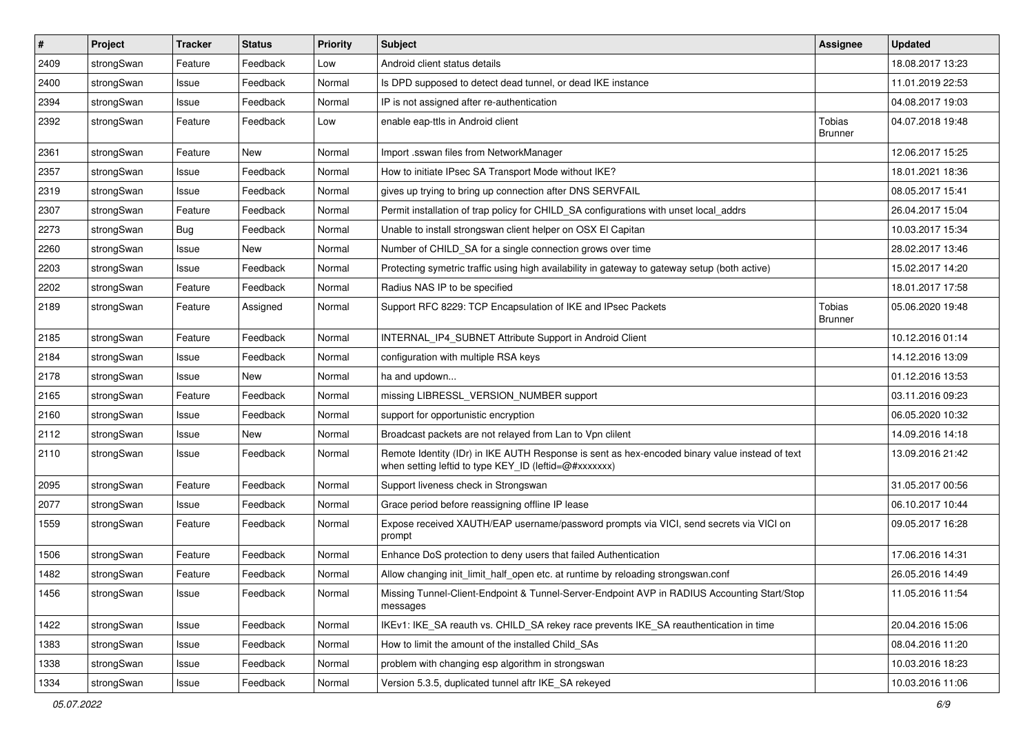| $\vert$ # | Project    | <b>Tracker</b> | <b>Status</b> | Priority | Subject                                                                                                                                                 | <b>Assignee</b>                 | <b>Updated</b>   |
|-----------|------------|----------------|---------------|----------|---------------------------------------------------------------------------------------------------------------------------------------------------------|---------------------------------|------------------|
| 2409      | strongSwan | Feature        | Feedback      | Low      | Android client status details                                                                                                                           |                                 | 18.08.2017 13:23 |
| 2400      | strongSwan | Issue          | Feedback      | Normal   | Is DPD supposed to detect dead tunnel, or dead IKE instance                                                                                             |                                 | 11.01.2019 22:53 |
| 2394      | strongSwan | Issue          | Feedback      | Normal   | IP is not assigned after re-authentication                                                                                                              |                                 | 04.08.2017 19:03 |
| 2392      | strongSwan | Feature        | Feedback      | Low      | enable eap-ttls in Android client                                                                                                                       | <b>Tobias</b><br><b>Brunner</b> | 04.07.2018 19:48 |
| 2361      | strongSwan | Feature        | New           | Normal   | Import .sswan files from NetworkManager                                                                                                                 |                                 | 12.06.2017 15:25 |
| 2357      | strongSwan | Issue          | Feedback      | Normal   | How to initiate IPsec SA Transport Mode without IKE?                                                                                                    |                                 | 18.01.2021 18:36 |
| 2319      | strongSwan | Issue          | Feedback      | Normal   | gives up trying to bring up connection after DNS SERVFAIL                                                                                               |                                 | 08.05.2017 15:41 |
| 2307      | strongSwan | Feature        | Feedback      | Normal   | Permit installation of trap policy for CHILD SA configurations with unset local addrs                                                                   |                                 | 26.04.2017 15:04 |
| 2273      | strongSwan | Bug            | Feedback      | Normal   | Unable to install strongswan client helper on OSX El Capitan                                                                                            |                                 | 10.03.2017 15:34 |
| 2260      | strongSwan | Issue          | New           | Normal   | Number of CHILD_SA for a single connection grows over time                                                                                              |                                 | 28.02.2017 13:46 |
| 2203      | strongSwan | Issue          | Feedback      | Normal   | Protecting symetric traffic using high availability in gateway to gateway setup (both active)                                                           |                                 | 15.02.2017 14:20 |
| 2202      | strongSwan | Feature        | Feedback      | Normal   | Radius NAS IP to be specified                                                                                                                           |                                 | 18.01.2017 17:58 |
| 2189      | strongSwan | Feature        | Assigned      | Normal   | Support RFC 8229: TCP Encapsulation of IKE and IPsec Packets                                                                                            | <b>Tobias</b><br><b>Brunner</b> | 05.06.2020 19:48 |
| 2185      | strongSwan | Feature        | Feedback      | Normal   | INTERNAL_IP4_SUBNET Attribute Support in Android Client                                                                                                 |                                 | 10.12.2016 01:14 |
| 2184      | strongSwan | Issue          | Feedback      | Normal   | configuration with multiple RSA keys                                                                                                                    |                                 | 14.12.2016 13:09 |
| 2178      | strongSwan | Issue          | New           | Normal   | ha and updown                                                                                                                                           |                                 | 01.12.2016 13:53 |
| 2165      | strongSwan | Feature        | Feedback      | Normal   | missing LIBRESSL_VERSION_NUMBER support                                                                                                                 |                                 | 03.11.2016 09:23 |
| 2160      | strongSwan | Issue          | Feedback      | Normal   | support for opportunistic encryption                                                                                                                    |                                 | 06.05.2020 10:32 |
| 2112      | strongSwan | Issue          | <b>New</b>    | Normal   | Broadcast packets are not relayed from Lan to Vpn clilent                                                                                               |                                 | 14.09.2016 14:18 |
| 2110      | strongSwan | Issue          | Feedback      | Normal   | Remote Identity (IDr) in IKE AUTH Response is sent as hex-encoded binary value instead of text<br>when setting leftid to type KEY_ID (leftid=@#xxxxxxx) |                                 | 13.09.2016 21:42 |
| 2095      | strongSwan | Feature        | Feedback      | Normal   | Support liveness check in Strongswan                                                                                                                    |                                 | 31.05.2017 00:56 |
| 2077      | strongSwan | Issue          | Feedback      | Normal   | Grace period before reassigning offline IP lease                                                                                                        |                                 | 06.10.2017 10:44 |
| 1559      | strongSwan | Feature        | Feedback      | Normal   | Expose received XAUTH/EAP username/password prompts via VICI, send secrets via VICI on<br>prompt                                                        |                                 | 09.05.2017 16:28 |
| 1506      | strongSwan | Feature        | Feedback      | Normal   | Enhance DoS protection to deny users that failed Authentication                                                                                         |                                 | 17.06.2016 14:31 |
| 1482      | strongSwan | Feature        | Feedback      | Normal   | Allow changing init_limit_half_open etc. at runtime by reloading strongswan.conf                                                                        |                                 | 26.05.2016 14:49 |
| 1456      | strongSwan | Issue          | Feedback      | Normal   | Missing Tunnel-Client-Endpoint & Tunnel-Server-Endpoint AVP in RADIUS Accounting Start/Stop<br>messages                                                 |                                 | 11.05.2016 11:54 |
| 1422      | strongSwan | Issue          | Feedback      | Normal   | IKEv1: IKE_SA reauth vs. CHILD_SA rekey race prevents IKE_SA reauthentication in time                                                                   |                                 | 20.04.2016 15:06 |
| 1383      | strongSwan | Issue          | Feedback      | Normal   | How to limit the amount of the installed Child_SAs                                                                                                      |                                 | 08.04.2016 11:20 |
| 1338      | strongSwan | Issue          | Feedback      | Normal   | problem with changing esp algorithm in strongswan                                                                                                       |                                 | 10.03.2016 18:23 |
| 1334      | strongSwan | Issue          | Feedback      | Normal   | Version 5.3.5, duplicated tunnel aftr IKE_SA rekeyed                                                                                                    |                                 | 10.03.2016 11:06 |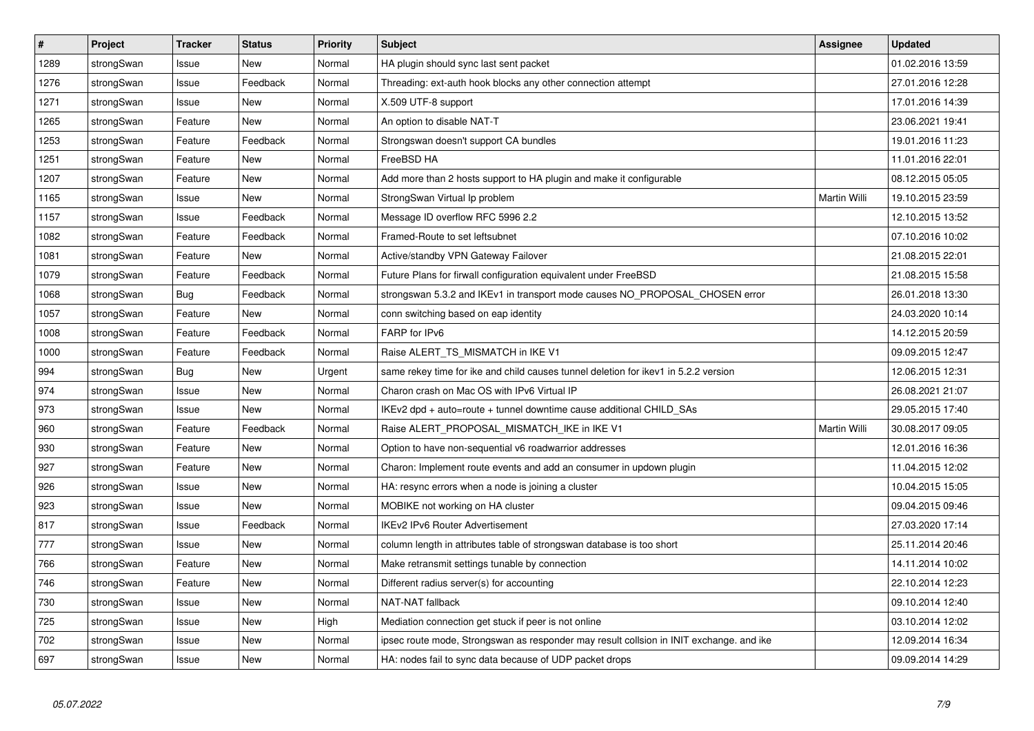| #    | Project    | <b>Tracker</b> | <b>Status</b> | Priority | <b>Subject</b>                                                                          | <b>Assignee</b>     | <b>Updated</b>   |
|------|------------|----------------|---------------|----------|-----------------------------------------------------------------------------------------|---------------------|------------------|
| 1289 | strongSwan | Issue          | <b>New</b>    | Normal   | HA plugin should sync last sent packet                                                  |                     | 01.02.2016 13:59 |
| 1276 | strongSwan | Issue          | Feedback      | Normal   | Threading: ext-auth hook blocks any other connection attempt                            |                     | 27.01.2016 12:28 |
| 1271 | strongSwan | Issue          | New           | Normal   | X.509 UTF-8 support                                                                     |                     | 17.01.2016 14:39 |
| 1265 | strongSwan | Feature        | New           | Normal   | An option to disable NAT-T                                                              |                     | 23.06.2021 19:41 |
| 1253 | strongSwan | Feature        | Feedback      | Normal   | Strongswan doesn't support CA bundles                                                   |                     | 19.01.2016 11:23 |
| 1251 | strongSwan | Feature        | <b>New</b>    | Normal   | FreeBSD HA                                                                              |                     | 11.01.2016 22:01 |
| 1207 | strongSwan | Feature        | New           | Normal   | Add more than 2 hosts support to HA plugin and make it configurable                     |                     | 08.12.2015 05:05 |
| 1165 | strongSwan | Issue          | <b>New</b>    | Normal   | StrongSwan Virtual Ip problem                                                           | <b>Martin Willi</b> | 19.10.2015 23:59 |
| 1157 | strongSwan | Issue          | Feedback      | Normal   | Message ID overflow RFC 5996 2.2                                                        |                     | 12.10.2015 13:52 |
| 1082 | strongSwan | Feature        | Feedback      | Normal   | Framed-Route to set leftsubnet                                                          |                     | 07.10.2016 10:02 |
| 1081 | strongSwan | Feature        | New           | Normal   | Active/standby VPN Gateway Failover                                                     |                     | 21.08.2015 22:01 |
| 1079 | strongSwan | Feature        | Feedback      | Normal   | Future Plans for firwall configuration equivalent under FreeBSD                         |                     | 21.08.2015 15:58 |
| 1068 | strongSwan | <b>Bug</b>     | Feedback      | Normal   | strongswan 5.3.2 and IKEv1 in transport mode causes NO_PROPOSAL_CHOSEN error            |                     | 26.01.2018 13:30 |
| 1057 | strongSwan | Feature        | New           | Normal   | conn switching based on eap identity                                                    |                     | 24.03.2020 10:14 |
| 1008 | strongSwan | Feature        | Feedback      | Normal   | FARP for IPv6                                                                           |                     | 14.12.2015 20:59 |
| 1000 | strongSwan | Feature        | Feedback      | Normal   | Raise ALERT TS MISMATCH in IKE V1                                                       |                     | 09.09.2015 12:47 |
| 994  | strongSwan | Bug            | New           | Urgent   | same rekey time for ike and child causes tunnel deletion for ikev1 in 5.2.2 version     |                     | 12.06.2015 12:31 |
| 974  | strongSwan | Issue          | New           | Normal   | Charon crash on Mac OS with IPv6 Virtual IP                                             |                     | 26.08.2021 21:07 |
| 973  | strongSwan | Issue          | New           | Normal   | IKEv2 dpd + auto=route + tunnel downtime cause additional CHILD_SAs                     |                     | 29.05.2015 17:40 |
| 960  | strongSwan | Feature        | Feedback      | Normal   | Raise ALERT_PROPOSAL_MISMATCH_IKE in IKE V1                                             | Martin Willi        | 30.08.2017 09:05 |
| 930  | strongSwan | Feature        | New           | Normal   | Option to have non-sequential v6 roadwarrior addresses                                  |                     | 12.01.2016 16:36 |
| 927  | strongSwan | Feature        | New           | Normal   | Charon: Implement route events and add an consumer in updown plugin                     |                     | 11.04.2015 12:02 |
| 926  | strongSwan | Issue          | New           | Normal   | HA: resync errors when a node is joining a cluster                                      |                     | 10.04.2015 15:05 |
| 923  | strongSwan | Issue          | New           | Normal   | MOBIKE not working on HA cluster                                                        |                     | 09.04.2015 09:46 |
| 817  | strongSwan | Issue          | Feedback      | Normal   | <b>IKEv2 IPv6 Router Advertisement</b>                                                  |                     | 27.03.2020 17:14 |
| 777  | strongSwan | Issue          | <b>New</b>    | Normal   | column length in attributes table of strongswan database is too short                   |                     | 25.11.2014 20:46 |
| 766  | strongSwan | Feature        | <b>New</b>    | Normal   | Make retransmit settings tunable by connection                                          |                     | 14.11.2014 10:02 |
| 746  | strongSwan | Feature        | <b>New</b>    | Normal   | Different radius server(s) for accounting                                               |                     | 22.10.2014 12:23 |
| 730  | strongSwan | Issue          | <b>New</b>    | Normal   | <b>NAT-NAT fallback</b>                                                                 |                     | 09.10.2014 12:40 |
| 725  | strongSwan | Issue          | New           | High     | Mediation connection get stuck if peer is not online                                    |                     | 03.10.2014 12:02 |
| 702  | strongSwan | Issue          | <b>New</b>    | Normal   | ipsec route mode, Strongswan as responder may result collsion in INIT exchange. and ike |                     | 12.09.2014 16:34 |
| 697  | strongSwan | Issue          | New           | Normal   | HA: nodes fail to sync data because of UDP packet drops                                 |                     | 09.09.2014 14:29 |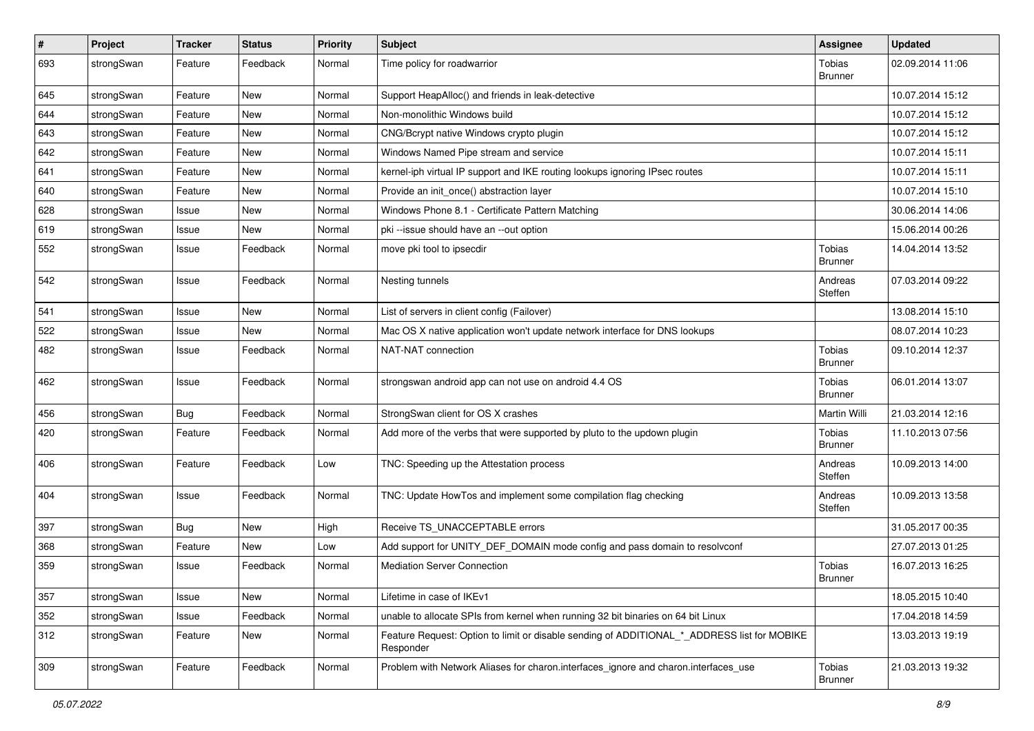| $\vert$ # | Project    | <b>Tracker</b> | <b>Status</b> | <b>Priority</b> | Subject                                                                                                  | Assignee                        | <b>Updated</b>   |
|-----------|------------|----------------|---------------|-----------------|----------------------------------------------------------------------------------------------------------|---------------------------------|------------------|
| 693       | strongSwan | Feature        | Feedback      | Normal          | Time policy for roadwarrior                                                                              | Tobias<br><b>Brunner</b>        | 02.09.2014 11:06 |
| 645       | strongSwan | Feature        | <b>New</b>    | Normal          | Support HeapAlloc() and friends in leak-detective                                                        |                                 | 10.07.2014 15:12 |
| 644       | strongSwan | Feature        | New           | Normal          | Non-monolithic Windows build                                                                             |                                 | 10.07.2014 15:12 |
| 643       | strongSwan | Feature        | <b>New</b>    | Normal          | CNG/Bcrypt native Windows crypto plugin                                                                  |                                 | 10.07.2014 15:12 |
| 642       | strongSwan | Feature        | New           | Normal          | Windows Named Pipe stream and service                                                                    |                                 | 10.07.2014 15:11 |
| 641       | strongSwan | Feature        | <b>New</b>    | Normal          | kernel-iph virtual IP support and IKE routing lookups ignoring IPsec routes                              |                                 | 10.07.2014 15:11 |
| 640       | strongSwan | Feature        | New           | Normal          | Provide an init_once() abstraction layer                                                                 |                                 | 10.07.2014 15:10 |
| 628       | strongSwan | Issue          | New           | Normal          | Windows Phone 8.1 - Certificate Pattern Matching                                                         |                                 | 30.06.2014 14:06 |
| 619       | strongSwan | Issue          | <b>New</b>    | Normal          | pki --issue should have an --out option                                                                  |                                 | 15.06.2014 00:26 |
| 552       | strongSwan | Issue          | Feedback      | Normal          | move pki tool to ipsecdir                                                                                | <b>Tobias</b><br><b>Brunner</b> | 14.04.2014 13:52 |
| 542       | strongSwan | Issue          | Feedback      | Normal          | Nesting tunnels                                                                                          | Andreas<br>Steffen              | 07.03.2014 09:22 |
| 541       | strongSwan | Issue          | <b>New</b>    | Normal          | List of servers in client config (Failover)                                                              |                                 | 13.08.2014 15:10 |
| 522       | strongSwan | Issue          | New           | Normal          | Mac OS X native application won't update network interface for DNS lookups                               |                                 | 08.07.2014 10:23 |
| 482       | strongSwan | Issue          | Feedback      | Normal          | NAT-NAT connection                                                                                       | <b>Tobias</b><br><b>Brunner</b> | 09.10.2014 12:37 |
| 462       | strongSwan | Issue          | Feedback      | Normal          | strongswan android app can not use on android 4.4 OS                                                     | <b>Tobias</b><br><b>Brunner</b> | 06.01.2014 13:07 |
| 456       | strongSwan | Bug            | Feedback      | Normal          | StrongSwan client for OS X crashes                                                                       | Martin Willi                    | 21.03.2014 12:16 |
| 420       | strongSwan | Feature        | Feedback      | Normal          | Add more of the verbs that were supported by pluto to the updown plugin                                  | Tobias<br><b>Brunner</b>        | 11.10.2013 07:56 |
| 406       | strongSwan | Feature        | Feedback      | Low             | TNC: Speeding up the Attestation process                                                                 | Andreas<br>Steffen              | 10.09.2013 14:00 |
| 404       | strongSwan | Issue          | Feedback      | Normal          | TNC: Update HowTos and implement some compilation flag checking                                          | Andreas<br>Steffen              | 10.09.2013 13:58 |
| 397       | strongSwan | <b>Bug</b>     | <b>New</b>    | High            | Receive TS_UNACCEPTABLE errors                                                                           |                                 | 31.05.2017 00:35 |
| 368       | strongSwan | Feature        | New           | Low             | Add support for UNITY_DEF_DOMAIN mode config and pass domain to resolvconf                               |                                 | 27.07.2013 01:25 |
| 359       | strongSwan | Issue          | Feedback      | Normal          | <b>Mediation Server Connection</b>                                                                       | <b>Tobias</b><br><b>Brunner</b> | 16.07.2013 16:25 |
| 357       | strongSwan | Issue          | New           | Normal          | Lifetime in case of IKEv1                                                                                |                                 | 18.05.2015 10:40 |
| 352       | strongSwan | Issue          | Feedback      | Normal          | unable to allocate SPIs from kernel when running 32 bit binaries on 64 bit Linux                         |                                 | 17.04.2018 14:59 |
| 312       | strongSwan | Feature        | New           | Normal          | Feature Request: Option to limit or disable sending of ADDITIONAL_*_ADDRESS list for MOBIKE<br>Responder |                                 | 13.03.2013 19:19 |
| 309       | strongSwan | Feature        | Feedback      | Normal          | Problem with Network Aliases for charon.interfaces ignore and charon.interfaces use                      | Tobias<br><b>Brunner</b>        | 21.03.2013 19:32 |